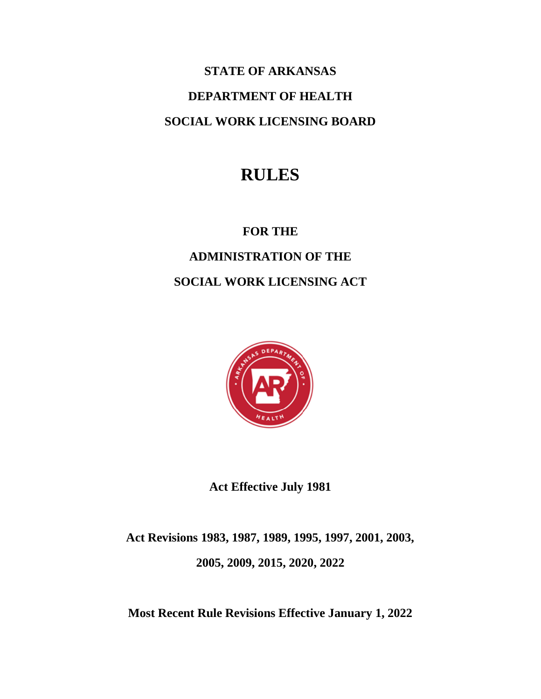# **STATE OF ARKANSAS DEPARTMENT OF HEALTH SOCIAL WORK LICENSING BOARD**

## **RULES**

**FOR THE**

### **ADMINISTRATION OF THE SOCIAL WORK LICENSING ACT**



**Act Effective July 1981**

**Act Revisions 1983, 1987, 1989, 1995, 1997, 2001, 2003, 2005, 2009, 2015, 2020, 2022**

**Most Recent Rule Revisions Effective January 1, 2022**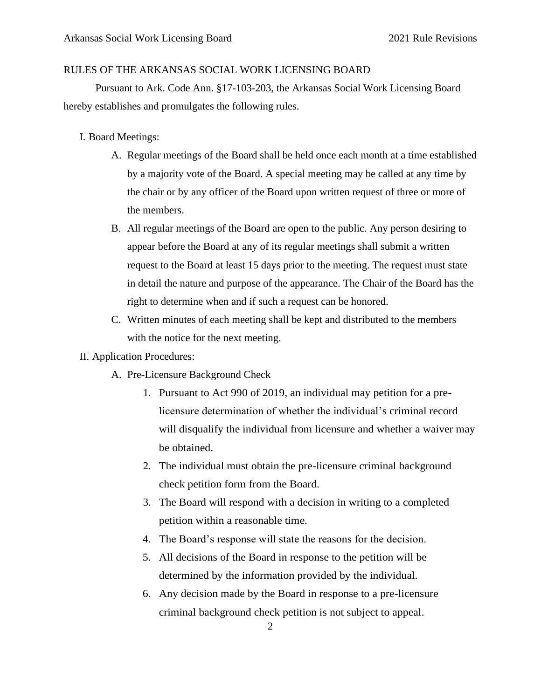### RULES OF THE ARKANSAS SOCIAL WORK LICENSING BOARD

Pursuant to Ark. Code Ann. §17-103-203, the Arkansas Social Work Licensing Board hereby establishes and promulgates the following rules.

- I. Board Meetings:
	- A. Regular meetings of the Board shall be held once each month at a time established by a majority vote of the Board. A special meeting may be called at any time by the chair or by any officer of the Board upon written request of three or more of the members.
	- B. All regular meetings of the Board are open to the public. Any person desiring to appear before the Board at any of its regular meetings shall submit a written request to the Board at least 15 days prior to the meeting. The request must state in detail the nature and purpose of the appearance. The Chair of the Board has the right to determine when and if such a request can be honored.
	- C. Written minutes of each meeting shall be kept and distributed to the members with the notice for the next meeting.

#### II. Application Procedures:

- A. Pre-Licensure Background Check
	- 1. Pursuant to Act 990 of 2019, an individual may petition for a prelicensure determination of whether the individual's criminal record will disqualify the individual from licensure and whether a waiver may be obtained.
	- 2. The individual must obtain the pre-licensure criminal background check petition form from the Board.
	- 3. The Board will respond with a decision in writing to a completed petition within a reasonable time.
	- 4. The Board's response will state the reasons for the decision.
	- 5. All decisions of the Board in response to the petition will be determined by the information provided by the individual.
	- 6. Any decision made by the Board in response to a pre-licensure criminal background check petition is not subject to appeal.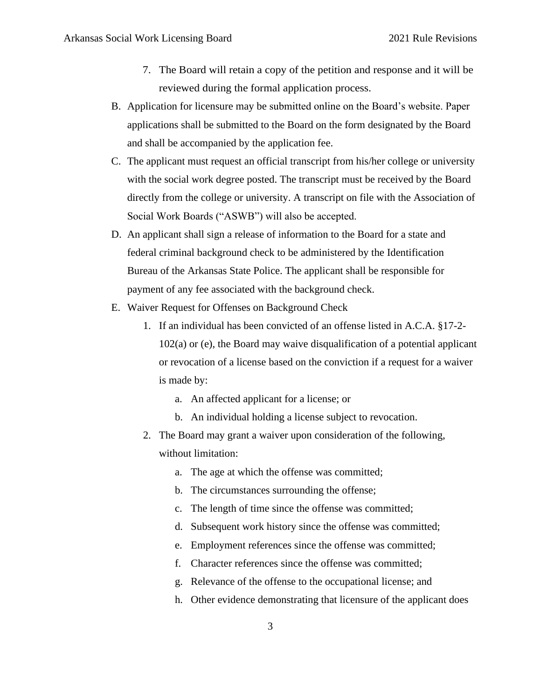- 7. The Board will retain a copy of the petition and response and it will be reviewed during the formal application process.
- B. Application for licensure may be submitted online on the Board's website. Paper applications shall be submitted to the Board on the form designated by the Board and shall be accompanied by the application fee.
- C. The applicant must request an official transcript from his/her college or university with the social work degree posted. The transcript must be received by the Board directly from the college or university. A transcript on file with the Association of Social Work Boards ("ASWB") will also be accepted.
- D. An applicant shall sign a release of information to the Board for a state and federal criminal background check to be administered by the Identification Bureau of the Arkansas State Police. The applicant shall be responsible for payment of any fee associated with the background check.
- E. Waiver Request for Offenses on Background Check
	- 1. If an individual has been convicted of an offense listed in A.C.A. §17-2- 102(a) or (e), the Board may waive disqualification of a potential applicant or revocation of a license based on the conviction if a request for a waiver is made by:
		- a. An affected applicant for a license; or
		- b. An individual holding a license subject to revocation.
	- 2. The Board may grant a waiver upon consideration of the following, without limitation:
		- a. The age at which the offense was committed;
		- b. The circumstances surrounding the offense;
		- c. The length of time since the offense was committed;
		- d. Subsequent work history since the offense was committed;
		- e. Employment references since the offense was committed;
		- f. Character references since the offense was committed;
		- g. Relevance of the offense to the occupational license; and
		- h. Other evidence demonstrating that licensure of the applicant does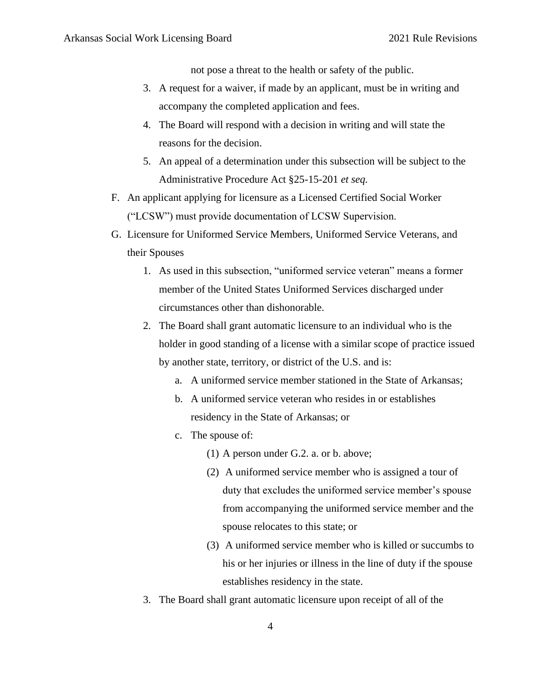not pose a threat to the health or safety of the public.

- 3. A request for a waiver, if made by an applicant, must be in writing and accompany the completed application and fees.
- 4. The Board will respond with a decision in writing and will state the reasons for the decision.
- 5. An appeal of a determination under this subsection will be subject to the Administrative Procedure Act §25-15-201 *et seq.*
- F. An applicant applying for licensure as a Licensed Certified Social Worker ("LCSW") must provide documentation of LCSW Supervision.
- G. Licensure for Uniformed Service Members, Uniformed Service Veterans, and their Spouses
	- 1. As used in this subsection, "uniformed service veteran" means a former member of the United States Uniformed Services discharged under circumstances other than dishonorable.
	- 2. The Board shall grant automatic licensure to an individual who is the holder in good standing of a license with a similar scope of practice issued by another state, territory, or district of the U.S. and is:
		- a. A uniformed service member stationed in the State of Arkansas;
		- b. A uniformed service veteran who resides in or establishes residency in the State of Arkansas; or
		- c. The spouse of:
			- (1) A person under G.2. a. or b. above;
			- (2) A uniformed service member who is assigned a tour of duty that excludes the uniformed service member's spouse from accompanying the uniformed service member and the spouse relocates to this state; or
			- (3) A uniformed service member who is killed or succumbs to his or her injuries or illness in the line of duty if the spouse establishes residency in the state.
	- 3. The Board shall grant automatic licensure upon receipt of all of the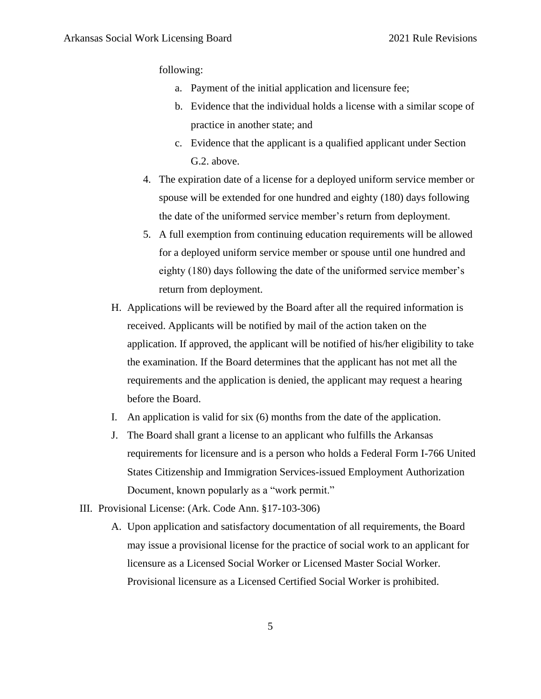following:

- a. Payment of the initial application and licensure fee;
- b. Evidence that the individual holds a license with a similar scope of practice in another state; and
- c. Evidence that the applicant is a qualified applicant under Section G.2. above.
- 4. The expiration date of a license for a deployed uniform service member or spouse will be extended for one hundred and eighty (180) days following the date of the uniformed service member's return from deployment.
- 5. A full exemption from continuing education requirements will be allowed for a deployed uniform service member or spouse until one hundred and eighty (180) days following the date of the uniformed service member's return from deployment.
- H. Applications will be reviewed by the Board after all the required information is received. Applicants will be notified by mail of the action taken on the application. If approved, the applicant will be notified of his/her eligibility to take the examination. If the Board determines that the applicant has not met all the requirements and the application is denied, the applicant may request a hearing before the Board.
- I. An application is valid for six (6) months from the date of the application.
- J. The Board shall grant a license to an applicant who fulfills the Arkansas requirements for licensure and is a person who holds a Federal Form I-766 United States Citizenship and Immigration Services-issued Employment Authorization Document, known popularly as a "work permit."
- III. Provisional License: (Ark. Code Ann. §17-103-306)
	- A. Upon application and satisfactory documentation of all requirements, the Board may issue a provisional license for the practice of social work to an applicant for licensure as a Licensed Social Worker or Licensed Master Social Worker. Provisional licensure as a Licensed Certified Social Worker is prohibited.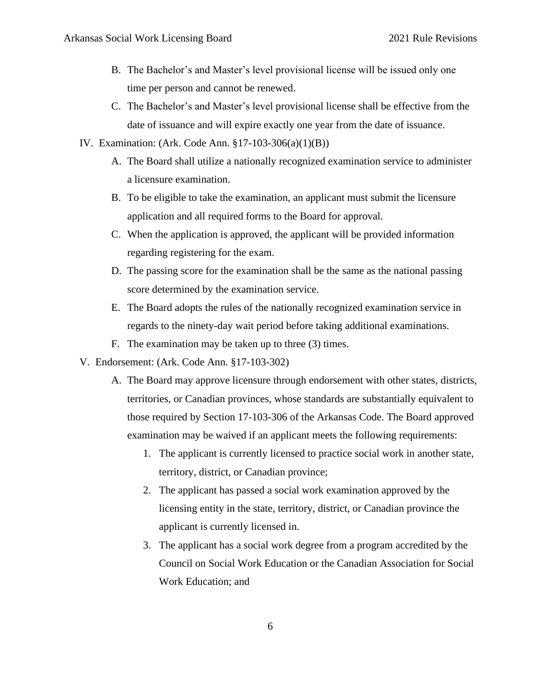- B. The Bachelor's and Master's level provisional license will be issued only one time per person and cannot be renewed.
- C. The Bachelor's and Master's level provisional license shall be effective from the date of issuance and will expire exactly one year from the date of issuance.
- IV. Examination: (Ark. Code Ann. §17-103-306(a)(1)(B))
	- A. The Board shall utilize a nationally recognized examination service to administer a licensure examination.
	- B. To be eligible to take the examination, an applicant must submit the licensure application and all required forms to the Board for approval.
	- C. When the application is approved, the applicant will be provided information regarding registering for the exam.
	- D. The passing score for the examination shall be the same as the national passing score determined by the examination service.
	- E. The Board adopts the rules of the nationally recognized examination service in regards to the ninety-day wait period before taking additional examinations.
	- F. The examination may be taken up to three (3) times.
- V. Endorsement: (Ark. Code Ann. §17-103-302)
	- A. The Board may approve licensure through endorsement with other states, districts, territories, or Canadian provinces, whose standards are substantially equivalent to those required by Section 17-103-306 of the Arkansas Code. The Board approved examination may be waived if an applicant meets the following requirements:
		- 1. The applicant is currently licensed to practice social work in another state, territory, district, or Canadian province;
		- 2. The applicant has passed a social work examination approved by the licensing entity in the state, territory, district, or Canadian province the applicant is currently licensed in.
		- 3. The applicant has a social work degree from a program accredited by the Council on Social Work Education or the Canadian Association for Social Work Education; and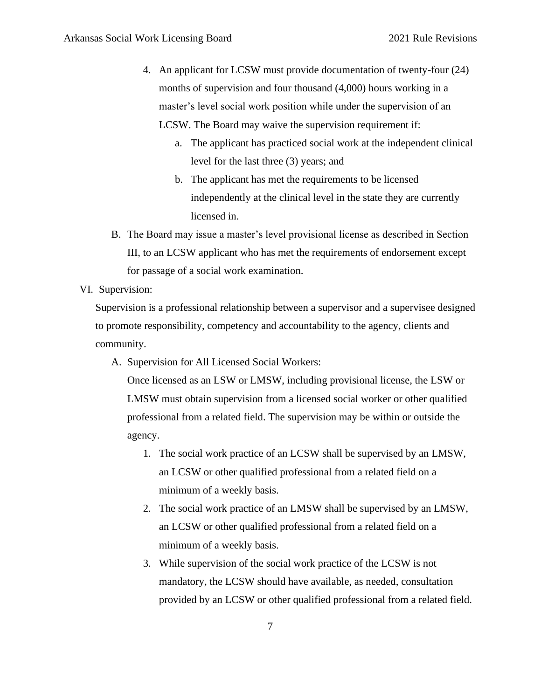- 4. An applicant for LCSW must provide documentation of twenty-four (24) months of supervision and four thousand (4,000) hours working in a master's level social work position while under the supervision of an LCSW. The Board may waive the supervision requirement if:
	- a. The applicant has practiced social work at the independent clinical level for the last three (3) years; and
	- b. The applicant has met the requirements to be licensed independently at the clinical level in the state they are currently licensed in.
- B. The Board may issue a master's level provisional license as described in Section III, to an LCSW applicant who has met the requirements of endorsement except for passage of a social work examination.
- VI. Supervision:

Supervision is a professional relationship between a supervisor and a supervisee designed to promote responsibility, competency and accountability to the agency, clients and community.

A. Supervision for All Licensed Social Workers:

Once licensed as an LSW or LMSW, including provisional license, the LSW or LMSW must obtain supervision from a licensed social worker or other qualified professional from a related field. The supervision may be within or outside the agency.

- 1. The social work practice of an LCSW shall be supervised by an LMSW, an LCSW or other qualified professional from a related field on a minimum of a weekly basis.
- 2. The social work practice of an LMSW shall be supervised by an LMSW, an LCSW or other qualified professional from a related field on a minimum of a weekly basis.
- 3. While supervision of the social work practice of the LCSW is not mandatory, the LCSW should have available, as needed, consultation provided by an LCSW or other qualified professional from a related field.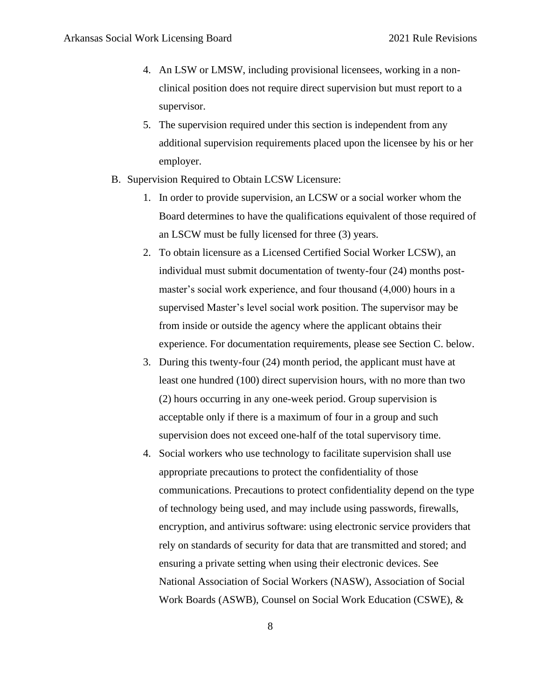- 4. An LSW or LMSW, including provisional licensees, working in a nonclinical position does not require direct supervision but must report to a supervisor.
- 5. The supervision required under this section is independent from any additional supervision requirements placed upon the licensee by his or her employer.
- B. Supervision Required to Obtain LCSW Licensure:
	- 1. In order to provide supervision, an LCSW or a social worker whom the Board determines to have the qualifications equivalent of those required of an LSCW must be fully licensed for three (3) years.
	- 2. To obtain licensure as a Licensed Certified Social Worker LCSW), an individual must submit documentation of twenty-four (24) months postmaster's social work experience, and four thousand (4,000) hours in a supervised Master's level social work position. The supervisor may be from inside or outside the agency where the applicant obtains their experience. For documentation requirements, please see Section C. below.
	- 3. During this twenty-four (24) month period, the applicant must have at least one hundred (100) direct supervision hours, with no more than two (2) hours occurring in any one-week period. Group supervision is acceptable only if there is a maximum of four in a group and such supervision does not exceed one-half of the total supervisory time.
	- 4. Social workers who use technology to facilitate supervision shall use appropriate precautions to protect the confidentiality of those communications. Precautions to protect confidentiality depend on the type of technology being used, and may include using passwords, firewalls, encryption, and antivirus software: using electronic service providers that rely on standards of security for data that are transmitted and stored; and ensuring a private setting when using their electronic devices. See National Association of Social Workers (NASW), Association of Social Work Boards (ASWB), Counsel on Social Work Education (CSWE), &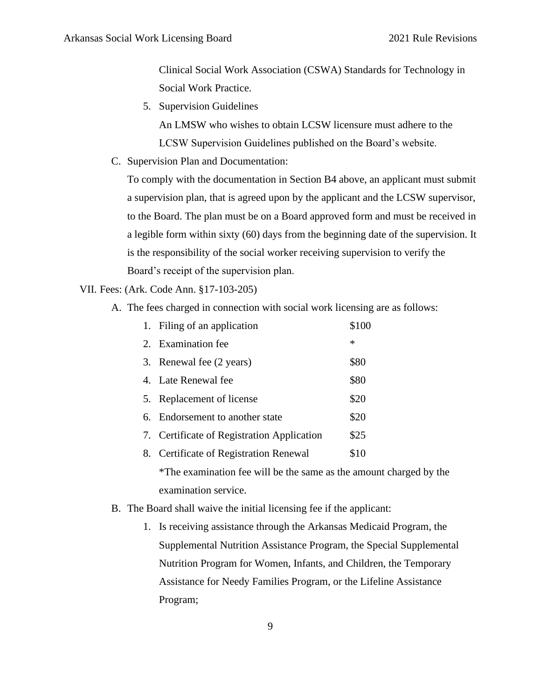Clinical Social Work Association (CSWA) Standards for Technology in Social Work Practice.

5. Supervision Guidelines

An LMSW who wishes to obtain LCSW licensure must adhere to the LCSW Supervision Guidelines published on the Board's website.

C. Supervision Plan and Documentation:

To comply with the documentation in Section B4 above, an applicant must submit a supervision plan, that is agreed upon by the applicant and the LCSW supervisor, to the Board. The plan must be on a Board approved form and must be received in a legible form within sixty (60) days from the beginning date of the supervision. It is the responsibility of the social worker receiving supervision to verify the Board's receipt of the supervision plan.

VII. Fees: (Ark. Code Ann. §17-103-205)

A. The fees charged in connection with social work licensing are as follows:

| 1. Filing of an application                                        | \$100  |
|--------------------------------------------------------------------|--------|
| 2. Examination fee                                                 | $\ast$ |
| 3. Renewal fee (2 years)                                           | \$80   |
| 4. Late Renewal fee                                                | \$80   |
| 5. Replacement of license                                          | \$20   |
| 6. Endorsement to another state                                    | \$20   |
| 7. Certificate of Registration Application                         | \$25   |
| 8. Certificate of Registration Renewal                             | \$10   |
| *The examination fee will be the same as the amount charged by the |        |

examination service. B. The Board shall waive the initial licensing fee if the applicant:

1. Is receiving assistance through the Arkansas Medicaid Program, the Supplemental Nutrition Assistance Program, the Special Supplemental Nutrition Program for Women, Infants, and Children, the Temporary Assistance for Needy Families Program, or the Lifeline Assistance Program;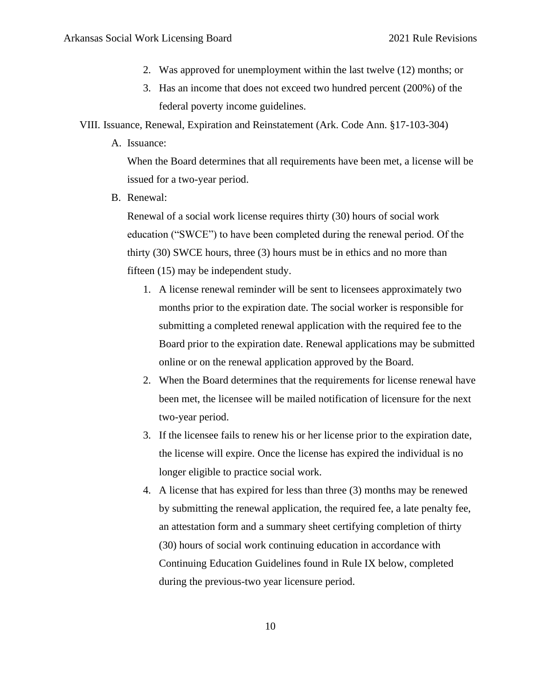- 2. Was approved for unemployment within the last twelve (12) months; or
- 3. Has an income that does not exceed two hundred percent (200%) of the federal poverty income guidelines.
- VIII. Issuance, Renewal, Expiration and Reinstatement (Ark. Code Ann. §17-103-304)
	- A. Issuance:

When the Board determines that all requirements have been met, a license will be issued for a two-year period.

B. Renewal:

Renewal of a social work license requires thirty (30) hours of social work education ("SWCE") to have been completed during the renewal period. Of the thirty (30) SWCE hours, three (3) hours must be in ethics and no more than fifteen (15) may be independent study.

- 1. A license renewal reminder will be sent to licensees approximately two months prior to the expiration date. The social worker is responsible for submitting a completed renewal application with the required fee to the Board prior to the expiration date. Renewal applications may be submitted online or on the renewal application approved by the Board.
- 2. When the Board determines that the requirements for license renewal have been met, the licensee will be mailed notification of licensure for the next two-year period.
- 3. If the licensee fails to renew his or her license prior to the expiration date, the license will expire. Once the license has expired the individual is no longer eligible to practice social work.
- 4. A license that has expired for less than three (3) months may be renewed by submitting the renewal application, the required fee, a late penalty fee, an attestation form and a summary sheet certifying completion of thirty (30) hours of social work continuing education in accordance with Continuing Education Guidelines found in Rule IX below, completed during the previous-two year licensure period.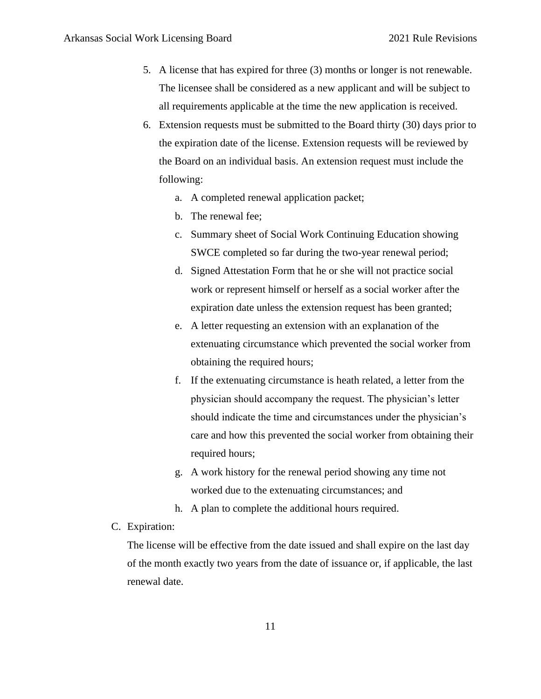- 5. A license that has expired for three (3) months or longer is not renewable. The licensee shall be considered as a new applicant and will be subject to all requirements applicable at the time the new application is received.
- 6. Extension requests must be submitted to the Board thirty (30) days prior to the expiration date of the license. Extension requests will be reviewed by the Board on an individual basis. An extension request must include the following:
	- a. A completed renewal application packet;
	- b. The renewal fee;
	- c. Summary sheet of Social Work Continuing Education showing SWCE completed so far during the two-year renewal period;
	- d. Signed Attestation Form that he or she will not practice social work or represent himself or herself as a social worker after the expiration date unless the extension request has been granted;
	- e. A letter requesting an extension with an explanation of the extenuating circumstance which prevented the social worker from obtaining the required hours;
	- f. If the extenuating circumstance is heath related, a letter from the physician should accompany the request. The physician's letter should indicate the time and circumstances under the physician's care and how this prevented the social worker from obtaining their required hours;
	- g. A work history for the renewal period showing any time not worked due to the extenuating circumstances; and
	- h. A plan to complete the additional hours required.
- C. Expiration:

The license will be effective from the date issued and shall expire on the last day of the month exactly two years from the date of issuance or, if applicable, the last renewal date.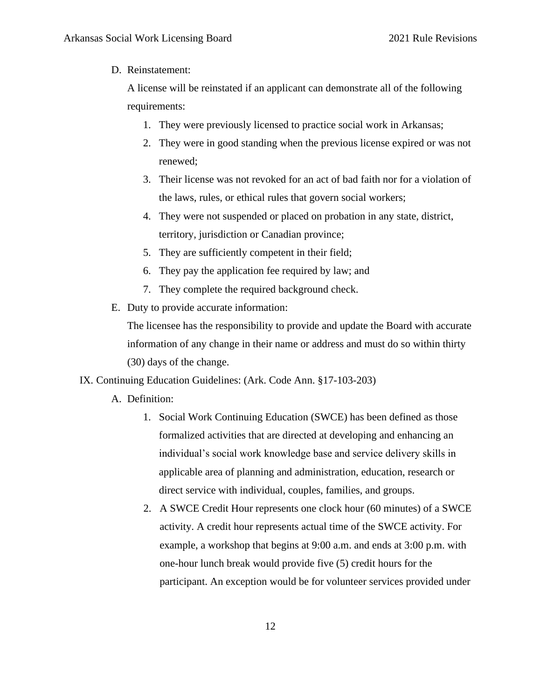#### D. Reinstatement:

A license will be reinstated if an applicant can demonstrate all of the following requirements:

- 1. They were previously licensed to practice social work in Arkansas;
- 2. They were in good standing when the previous license expired or was not renewed;
- 3. Their license was not revoked for an act of bad faith nor for a violation of the laws, rules, or ethical rules that govern social workers;
- 4. They were not suspended or placed on probation in any state, district, territory, jurisdiction or Canadian province;
- 5. They are sufficiently competent in their field;
- 6. They pay the application fee required by law; and
- 7. They complete the required background check.
- E. Duty to provide accurate information:

The licensee has the responsibility to provide and update the Board with accurate information of any change in their name or address and must do so within thirty (30) days of the change.

#### IX. Continuing Education Guidelines: (Ark. Code Ann. §17-103-203)

- A. Definition:
	- 1. Social Work Continuing Education (SWCE) has been defined as those formalized activities that are directed at developing and enhancing an individual's social work knowledge base and service delivery skills in applicable area of planning and administration, education, research or direct service with individual, couples, families, and groups.
	- 2. A SWCE Credit Hour represents one clock hour (60 minutes) of a SWCE activity. A credit hour represents actual time of the SWCE activity. For example, a workshop that begins at 9:00 a.m. and ends at 3:00 p.m. with one-hour lunch break would provide five (5) credit hours for the participant. An exception would be for volunteer services provided under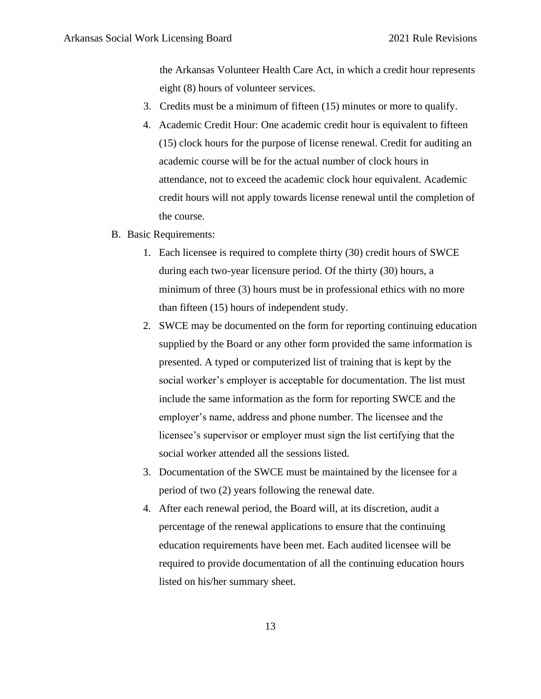the Arkansas Volunteer Health Care Act, in which a credit hour represents eight (8) hours of volunteer services.

- 3. Credits must be a minimum of fifteen (15) minutes or more to qualify.
- 4. Academic Credit Hour: One academic credit hour is equivalent to fifteen (15) clock hours for the purpose of license renewal. Credit for auditing an academic course will be for the actual number of clock hours in attendance, not to exceed the academic clock hour equivalent. Academic credit hours will not apply towards license renewal until the completion of the course.
- B. Basic Requirements:
	- 1. Each licensee is required to complete thirty (30) credit hours of SWCE during each two-year licensure period. Of the thirty (30) hours, a minimum of three (3) hours must be in professional ethics with no more than fifteen (15) hours of independent study.
	- 2. SWCE may be documented on the form for reporting continuing education supplied by the Board or any other form provided the same information is presented. A typed or computerized list of training that is kept by the social worker's employer is acceptable for documentation. The list must include the same information as the form for reporting SWCE and the employer's name, address and phone number. The licensee and the licensee's supervisor or employer must sign the list certifying that the social worker attended all the sessions listed.
	- 3. Documentation of the SWCE must be maintained by the licensee for a period of two (2) years following the renewal date.
	- 4. After each renewal period, the Board will, at its discretion, audit a percentage of the renewal applications to ensure that the continuing education requirements have been met. Each audited licensee will be required to provide documentation of all the continuing education hours listed on his/her summary sheet.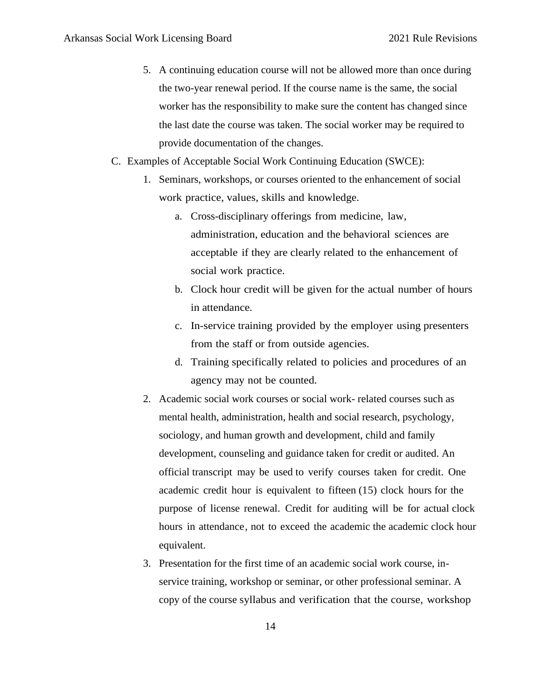- 5. A continuing education course will not be allowed more than once during the two-year renewal period. If the course name is the same, the social worker has the responsibility to make sure the content has changed since the last date the course was taken. The social worker may be required to provide documentation of the changes.
- C. Examples of Acceptable Social Work Continuing Education (SWCE):
	- 1. Seminars, workshops, or courses oriented to the enhancement of social work practice, values, skills and knowledge.
		- a. Cross-disciplinary offerings from medicine, law, administration, education and the behavioral sciences are acceptable if they are clearly related to the enhancement of social work practice.
		- b. Clock hour credit will be given for the actual number of hours in attendance.
		- c. In-service training provided by the employer using presenters from the staff or from outside agencies.
		- d. Training specifically related to policies and procedures of an agency may not be counted.
	- 2. Academic social work courses or social work- related courses such as mental health, administration, health and social research, psychology, sociology, and human growth and development, child and family development, counseling and guidance taken for credit or audited. An official transcript may be used to verify courses taken for credit. One academic credit hour is equivalent to fifteen (15) clock hours for the purpose of license renewal. Credit for auditing will be for actual clock hours in attendance, not to exceed the academic the academic clock hour equivalent.
	- 3. Presentation for the first time of an academic social work course, inservice training, workshop or seminar, or other professional seminar. A copy of the course syllabus and verification that the course, workshop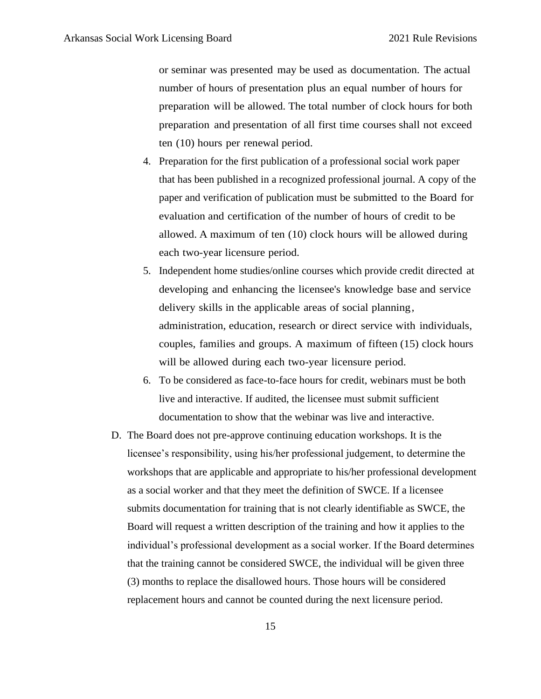or seminar was presented may be used as documentation. The actual number of hours of presentation plus an equal number of hours for preparation will be allowed. The total number of clock hours for both preparation and presentation of all first time courses shall not exceed ten (10) hours per renewal period.

- 4. Preparation for the first publication of a professional social work paper that has been published in a recognized professional journal. A copy of the paper and verification of publication must be submitted to the Board for evaluation and certification of the number of hours of credit to be allowed. A maximum of ten (10) clock hours will be allowed during each two-year licensure period.
- 5. Independent home studies/online courses which provide credit directed at developing and enhancing the licensee's knowledge base and service delivery skills in the applicable areas of social planning, administration, education, research or direct service with individuals, couples, families and groups. A maximum of fifteen (15) clock hours will be allowed during each two-year licensure period.
- 6. To be considered as face-to-face hours for credit, webinars must be both live and interactive. If audited, the licensee must submit sufficient documentation to show that the webinar was live and interactive.
- D. The Board does not pre-approve continuing education workshops. It is the licensee's responsibility, using his/her professional judgement, to determine the workshops that are applicable and appropriate to his/her professional development as a social worker and that they meet the definition of SWCE. If a licensee submits documentation for training that is not clearly identifiable as SWCE, the Board will request a written description of the training and how it applies to the individual's professional development as a social worker. If the Board determines that the training cannot be considered SWCE, the individual will be given three (3) months to replace the disallowed hours. Those hours will be considered replacement hours and cannot be counted during the next licensure period.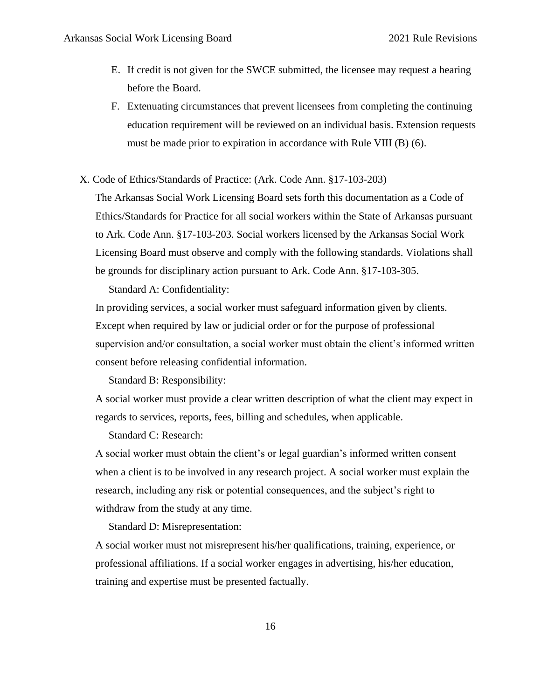- E. If credit is not given for the SWCE submitted, the licensee may request a hearing before the Board.
- F. Extenuating circumstances that prevent licensees from completing the continuing education requirement will be reviewed on an individual basis. Extension requests must be made prior to expiration in accordance with Rule VIII (B) (6).
- X. Code of Ethics/Standards of Practice: (Ark. Code Ann. §17-103-203)

The Arkansas Social Work Licensing Board sets forth this documentation as a Code of Ethics/Standards for Practice for all social workers within the State of Arkansas pursuant to Ark. Code Ann. §17-103-203. Social workers licensed by the Arkansas Social Work Licensing Board must observe and comply with the following standards. Violations shall be grounds for disciplinary action pursuant to Ark. Code Ann. §17-103-305.

Standard A: Confidentiality:

In providing services, a social worker must safeguard information given by clients. Except when required by law or judicial order or for the purpose of professional supervision and/or consultation, a social worker must obtain the client's informed written consent before releasing confidential information.

Standard B: Responsibility:

A social worker must provide a clear written description of what the client may expect in regards to services, reports, fees, billing and schedules, when applicable.

Standard C: Research:

A social worker must obtain the client's or legal guardian's informed written consent when a client is to be involved in any research project. A social worker must explain the research, including any risk or potential consequences, and the subject's right to withdraw from the study at any time.

Standard D: Misrepresentation:

A social worker must not misrepresent his/her qualifications, training, experience, or professional affiliations. If a social worker engages in advertising, his/her education, training and expertise must be presented factually.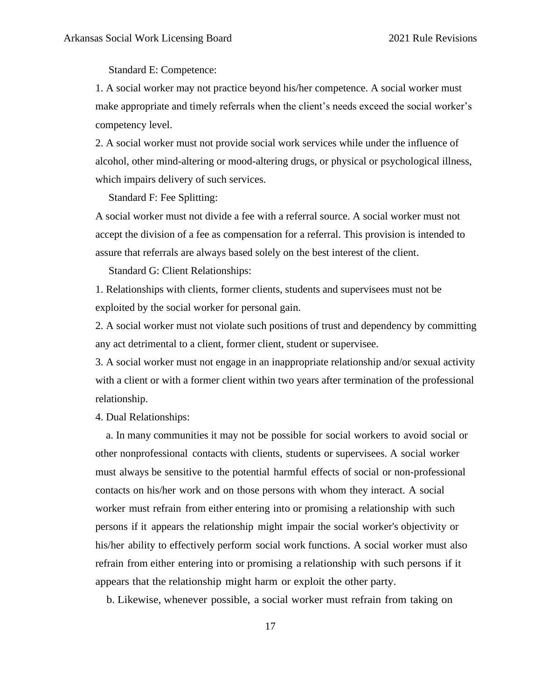Standard E: Competence:

1. A social worker may not practice beyond his/her competence. A social worker must make appropriate and timely referrals when the client's needs exceed the social worker's competency level.

2. A social worker must not provide social work services while under the influence of alcohol, other mind-altering or mood-altering drugs, or physical or psychological illness, which impairs delivery of such services.

Standard F: Fee Splitting:

A social worker must not divide a fee with a referral source. A social worker must not accept the division of a fee as compensation for a referral. This provision is intended to assure that referrals are always based solely on the best interest of the client.

Standard G: Client Relationships:

1. Relationships with clients, former clients, students and supervisees must not be exploited by the social worker for personal gain.

2. A social worker must not violate such positions of trust and dependency by committing any act detrimental to a client, former client, student or supervisee.

3. A social worker must not engage in an inappropriate relationship and/or sexual activity with a client or with a former client within two years after termination of the professional relationship.

4. Dual Relationships:

 a. In many communities it may not be possible for social workers to avoid social or other nonprofessional contacts with clients, students or supervisees. A social worker must always be sensitive to the potential harmful effects of social or non-professional contacts on his/her work and on those persons with whom they interact. A social worker must refrain from either entering into or promising a relationship with such persons if it appears the relationship might impair the social worker's objectivity or his/her ability to effectively perform social work functions. A social worker must also refrain from either entering into or promising a relationship with such persons if it appears that the relationship might harm or exploit the other party.

b. Likewise, whenever possible, a social worker must refrain from taking on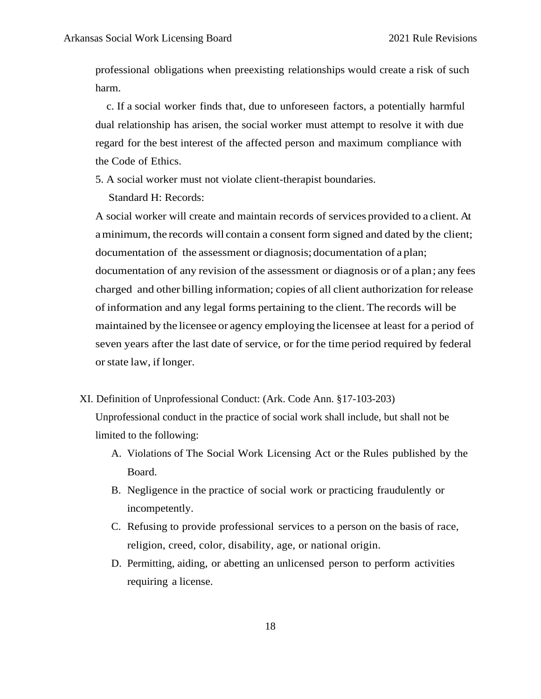professional obligations when preexisting relationships would create a risk of such harm.

 c. If a social worker finds that, due to unforeseen factors, a potentially harmful dual relationship has arisen, the social worker must attempt to resolve it with due regard for the best interest of the affected person and maximum compliance with the Code of Ethics.

5. A social worker must not violate client-therapist boundaries.

Standard H: Records:

A social worker will create and maintain records of services provided to a client. At aminimum, the records will contain a consent form signed and dated by the client; documentation of the assessment or diagnosis; documentation of a plan; documentation of any revision of the assessment or diagnosis or of a plan; any fees charged and other billing information; copies of all client authorization forrelease of information and any legal forms pertaining to the client. The records will be maintained by the licensee or agency employing the licensee at least for a period of seven years after the last date of service, or for the time period required by federal orstate law, if longer.

XI. Definition of Unprofessional Conduct: (Ark. Code Ann. §17-103-203)

Unprofessional conduct in the practice of social work shall include, but shall not be limited to the following:

- A. Violations of The Social Work Licensing Act or the Rules published by the Board.
- B. Negligence in the practice of social work or practicing fraudulently or incompetently.
- C. Refusing to provide professional services to a person on the basis of race, religion, creed, color, disability, age, or national origin.
- D. Permitting, aiding, or abetting an unlicensed person to perform activities requiring a license.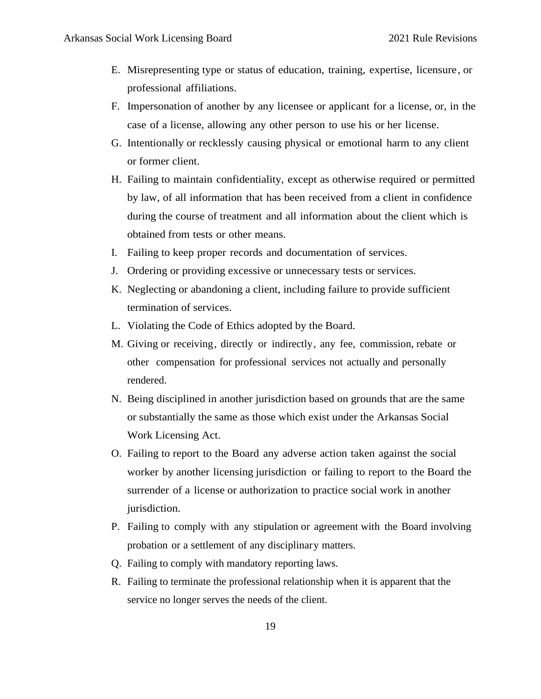- E. Misrepresenting type or status of education, training, expertise, licensure, or professional affiliations.
- F. Impersonation of another by any licensee or applicant for a license, or, in the case of a license, allowing any other person to use his or her license.
- G. Intentionally or recklessly causing physical or emotional harm to any client or former client.
- H. Failing to maintain confidentiality, except as otherwise required or permitted by law, of all information that has been received from a client in confidence during the course of treatment and all information about the client which is obtained from tests or other means.
- I. Failing to keep proper records and documentation of services.
- J. Ordering or providing excessive or unnecessary tests or services.
- K. Neglecting or abandoning a client, including failure to provide sufficient termination of services.
- L. Violating the Code of Ethics adopted by the Board.
- M. Giving or receiving, directly or indirectly, any fee, commission, rebate or other compensation for professional services not actually and personally rendered.
- N. Being disciplined in another jurisdiction based on grounds that are the same or substantially the same as those which exist under the Arkansas Social Work Licensing Act.
- O. Failing to report to the Board any adverse action taken against the social worker by another licensing jurisdiction or failing to report to the Board the surrender of a license or authorization to practice social work in another jurisdiction.
- P. Failing to comply with any stipulation or agreement with the Board involving probation or a settlement of any disciplinary matters.
- Q. Failing to comply with mandatory reporting laws.
- R. Failing to terminate the professional relationship when it is apparent that the service no longer serves the needs of the client.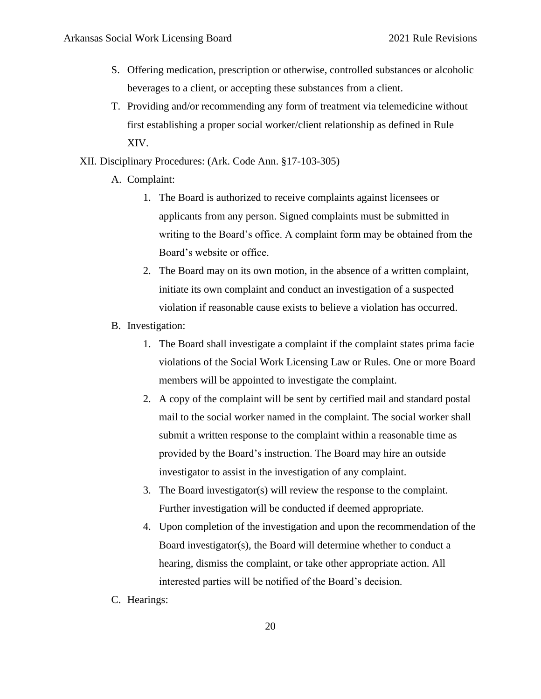- S. Offering medication, prescription or otherwise, controlled substances or alcoholic beverages to a client, or accepting these substances from a client.
- T. Providing and/or recommending any form of treatment via telemedicine without first establishing a proper social worker/client relationship as defined in Rule XIV.
- XII. Disciplinary Procedures: (Ark. Code Ann. §17-103-305)
	- A. Complaint:
		- 1. The Board is authorized to receive complaints against licensees or applicants from any person. Signed complaints must be submitted in writing to the Board's office. A complaint form may be obtained from the Board's website or office.
		- 2. The Board may on its own motion, in the absence of a written complaint, initiate its own complaint and conduct an investigation of a suspected violation if reasonable cause exists to believe a violation has occurred.
	- B. Investigation:
		- 1. The Board shall investigate a complaint if the complaint states prima facie violations of the Social Work Licensing Law or Rules. One or more Board members will be appointed to investigate the complaint.
		- 2. A copy of the complaint will be sent by certified mail and standard postal mail to the social worker named in the complaint. The social worker shall submit a written response to the complaint within a reasonable time as provided by the Board's instruction. The Board may hire an outside investigator to assist in the investigation of any complaint.
		- 3. The Board investigator(s) will review the response to the complaint. Further investigation will be conducted if deemed appropriate.
		- 4. Upon completion of the investigation and upon the recommendation of the Board investigator(s), the Board will determine whether to conduct a hearing, dismiss the complaint, or take other appropriate action. All interested parties will be notified of the Board's decision.
	- C. Hearings: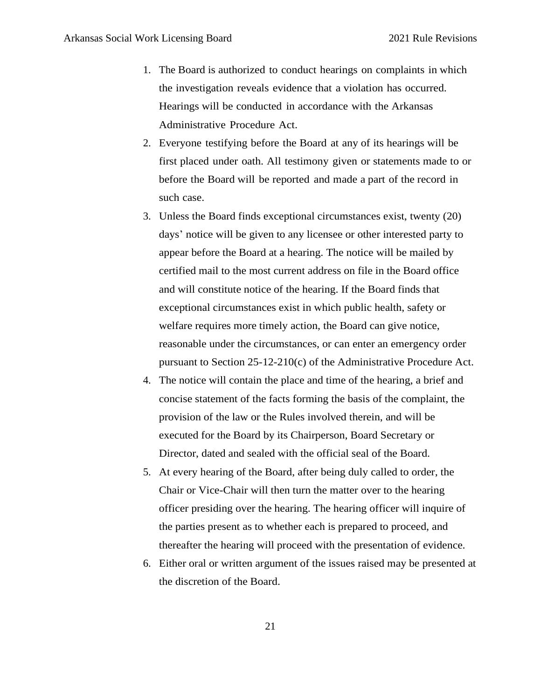- 1. The Board is authorized to conduct hearings on complaints in which the investigation reveals evidence that a violation has occurred. Hearings will be conducted in accordance with the Arkansas Administrative Procedure Act.
- 2. Everyone testifying before the Board at any of its hearings will be first placed under oath. All testimony given or statements made to or before the Board will be reported and made a part of the record in such case.
- 3. Unless the Board finds exceptional circumstances exist, twenty (20) days' notice will be given to any licensee or other interested party to appear before the Board at a hearing. The notice will be mailed by certified mail to the most current address on file in the Board office and will constitute notice of the hearing. If the Board finds that exceptional circumstances exist in which public health, safety or welfare requires more timely action, the Board can give notice, reasonable under the circumstances, or can enter an emergency order pursuant to Section 25-12-210(c) of the Administrative Procedure Act.
- 4. The notice will contain the place and time of the hearing, a brief and concise statement of the facts forming the basis of the complaint, the provision of the law or the Rules involved therein, and will be executed for the Board by its Chairperson, Board Secretary or Director, dated and sealed with the official seal of the Board.
- 5. At every hearing of the Board, after being duly called to order, the Chair or Vice-Chair will then turn the matter over to the hearing officer presiding over the hearing. The hearing officer will inquire of the parties present as to whether each is prepared to proceed, and thereafter the hearing will proceed with the presentation of evidence.
- 6. Either oral or written argument of the issues raised may be presented at the discretion of the Board.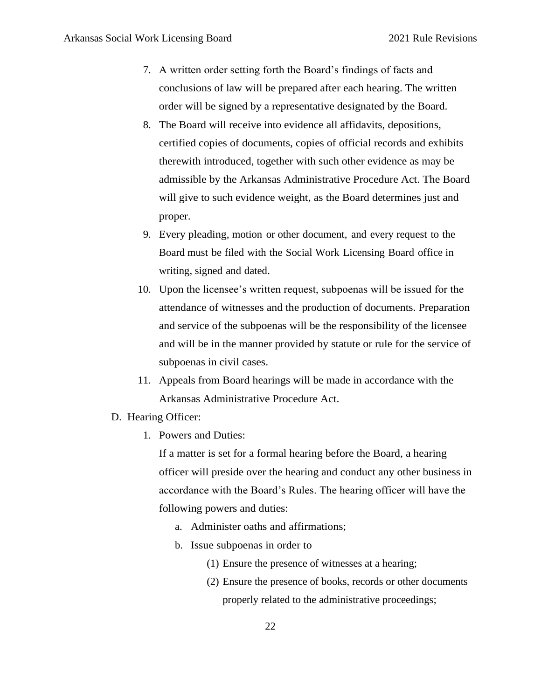- 7. A written order setting forth the Board's findings of facts and conclusions of law will be prepared after each hearing. The written order will be signed by a representative designated by the Board.
- 8. The Board will receive into evidence all affidavits, depositions, certified copies of documents, copies of official records and exhibits therewith introduced, together with such other evidence as may be admissible by the Arkansas Administrative Procedure Act. The Board will give to such evidence weight, as the Board determines just and proper.
- 9. Every pleading, motion or other document, and every request to the Board must be filed with the Social Work Licensing Board office in writing, signed and dated.
- 10. Upon the licensee's written request, subpoenas will be issued for the attendance of witnesses and the production of documents. Preparation and service of the subpoenas will be the responsibility of the licensee and will be in the manner provided by statute or rule for the service of subpoenas in civil cases.
- 11. Appeals from Board hearings will be made in accordance with the Arkansas Administrative Procedure Act.
- D. Hearing Officer:
	- 1. Powers and Duties:

If a matter is set for a formal hearing before the Board, a hearing officer will preside over the hearing and conduct any other business in accordance with the Board's Rules. The hearing officer will have the following powers and duties:

- a. Administer oaths and affirmations;
- b. Issue subpoenas in order to
	- (1) Ensure the presence of witnesses at a hearing;
	- (2) Ensure the presence of books, records or other documents properly related to the administrative proceedings;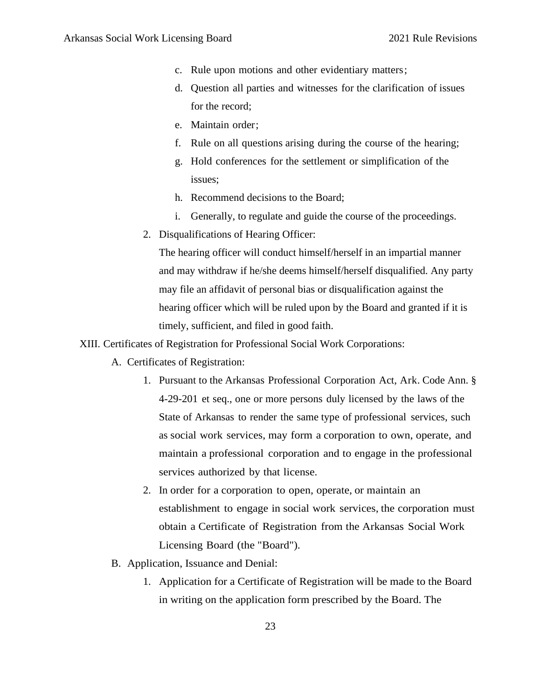- c. Rule upon motions and other evidentiary matters;
- d. Question all parties and witnesses for the clarification of issues for the record;
- e. Maintain order;
- f. Rule on all questions arising during the course of the hearing;
- g. Hold conferences for the settlement or simplification of the issues;
- h. Recommend decisions to the Board;
- i. Generally, to regulate and guide the course of the proceedings.
- 2. Disqualifications of Hearing Officer:

The hearing officer will conduct himself/herself in an impartial manner and may withdraw if he/she deems himself/herself disqualified. Any party may file an affidavit of personal bias or disqualification against the hearing officer which will be ruled upon by the Board and granted if it is timely, sufficient, and filed in good faith.

XIII. Certificates of Registration for Professional Social Work Corporations:

- A. Certificates of Registration:
	- 1. Pursuant to the Arkansas Professional Corporation Act, Ark. Code Ann. § 4-29-201 et seq., one or more persons duly licensed by the laws of the State of Arkansas to render the same type of professional services, such as social work services, may form a corporation to own, operate, and maintain a professional corporation and to engage in the professional services authorized by that license.
	- 2. In order for a corporation to open, operate, or maintain an establishment to engage in social work services, the corporation must obtain a Certificate of Registration from the Arkansas Social Work Licensing Board (the "Board").
- B. Application, Issuance and Denial:
	- 1. Application for a Certificate of Registration will be made to the Board in writing on the application form prescribed by the Board. The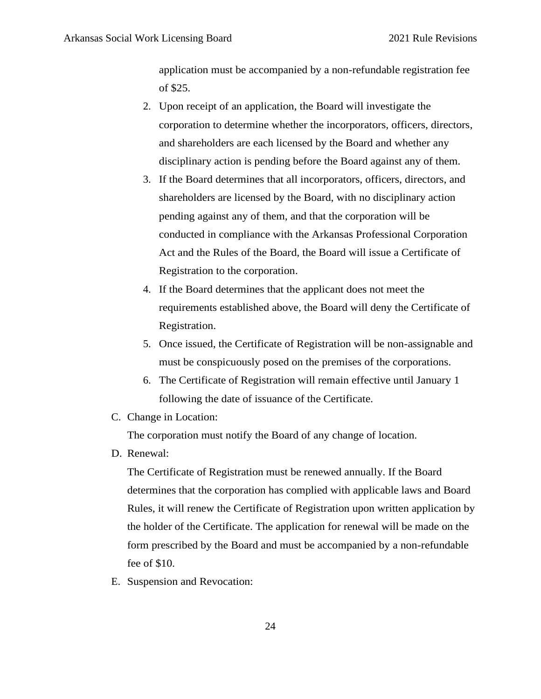application must be accompanied by a non-refundable registration fee of \$25.

- 2. Upon receipt of an application, the Board will investigate the corporation to determine whether the incorporators, officers, directors, and shareholders are each licensed by the Board and whether any disciplinary action is pending before the Board against any of them.
- 3. If the Board determines that all incorporators, officers, directors, and shareholders are licensed by the Board, with no disciplinary action pending against any of them, and that the corporation will be conducted in compliance with the Arkansas Professional Corporation Act and the Rules of the Board, the Board will issue a Certificate of Registration to the corporation.
- 4. If the Board determines that the applicant does not meet the requirements established above, the Board will deny the Certificate of Registration.
- 5. Once issued, the Certificate of Registration will be non-assignable and must be conspicuously posed on the premises of the corporations.
- 6. The Certificate of Registration will remain effective until January 1 following the date of issuance of the Certificate.
- C. Change in Location:

The corporation must notify the Board of any change of location.

D. Renewal:

The Certificate of Registration must be renewed annually. If the Board determines that the corporation has complied with applicable laws and Board Rules, it will renew the Certificate of Registration upon written application by the holder of the Certificate. The application for renewal will be made on the form prescribed by the Board and must be accompanied by a non-refundable fee of \$10.

E. Suspension and Revocation: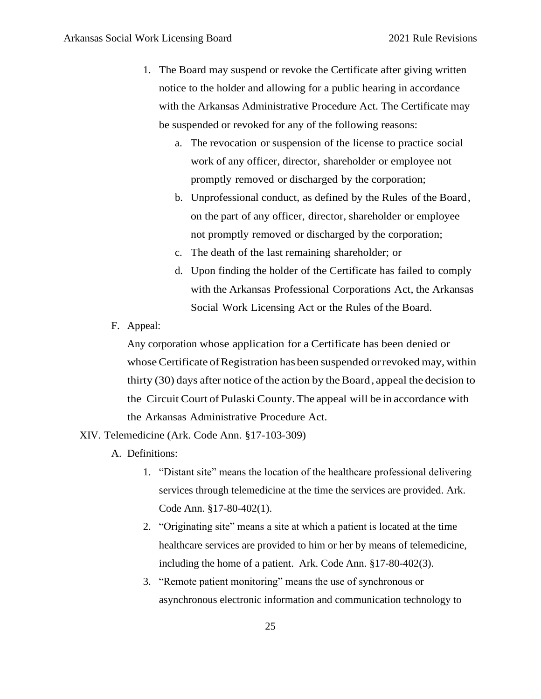- 1. The Board may suspend or revoke the Certificate after giving written notice to the holder and allowing for a public hearing in accordance with the Arkansas Administrative Procedure Act. The Certificate may be suspended or revoked for any of the following reasons:
	- a. The revocation or suspension of the license to practice social work of any officer, director, shareholder or employee not promptly removed or discharged by the corporation;
	- b. Unprofessional conduct, as defined by the Rules of the Board, on the part of any officer, director, shareholder or employee not promptly removed or discharged by the corporation;
	- c. The death of the last remaining shareholder; or
	- d. Upon finding the holder of the Certificate has failed to comply with the Arkansas Professional Corporations Act, the Arkansas Social Work Licensing Act or the Rules of the Board.
- F. Appeal:

Any corporation whose application for a Certificate has been denied or whose Certificate of Registration has been suspended or revoked may, within thirty (30) days after notice of the action by the Board, appeal the decision to the Circuit Court of Pulaski County.The appeal will be in accordance with the Arkansas Administrative Procedure Act.

XIV. Telemedicine (Ark. Code Ann. §17-103-309)

- A. Definitions:
	- 1. "Distant site" means the location of the healthcare professional delivering services through telemedicine at the time the services are provided. Ark. Code Ann. §17-80-402(1).
	- 2. "Originating site" means a site at which a patient is located at the time healthcare services are provided to him or her by means of telemedicine, including the home of a patient. Ark. Code Ann. §17-80-402(3).
	- 3. "Remote patient monitoring" means the use of synchronous or asynchronous electronic information and communication technology to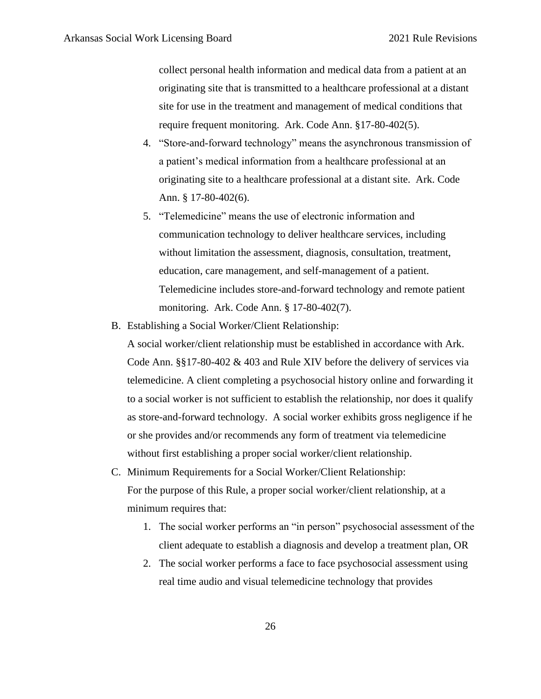collect personal health information and medical data from a patient at an originating site that is transmitted to a healthcare professional at a distant site for use in the treatment and management of medical conditions that require frequent monitoring. Ark. Code Ann. §17-80-402(5).

- 4. "Store-and-forward technology" means the asynchronous transmission of a patient's medical information from a healthcare professional at an originating site to a healthcare professional at a distant site. Ark. Code Ann. § 17-80-402(6).
- 5. "Telemedicine" means the use of electronic information and communication technology to deliver healthcare services, including without limitation the assessment, diagnosis, consultation, treatment, education, care management, and self-management of a patient. Telemedicine includes store-and-forward technology and remote patient monitoring. Ark. Code Ann. § 17-80-402(7).
- B. Establishing a Social Worker/Client Relationship:

A social worker/client relationship must be established in accordance with Ark. Code Ann. §§17-80-402 & 403 and Rule XIV before the delivery of services via telemedicine. A client completing a psychosocial history online and forwarding it to a social worker is not sufficient to establish the relationship, nor does it qualify as store-and-forward technology. A social worker exhibits gross negligence if he or she provides and/or recommends any form of treatment via telemedicine without first establishing a proper social worker/client relationship.

- C. Minimum Requirements for a Social Worker/Client Relationship: For the purpose of this Rule, a proper social worker/client relationship, at a minimum requires that:
	- 1. The social worker performs an "in person" psychosocial assessment of the client adequate to establish a diagnosis and develop a treatment plan, OR
	- 2. The social worker performs a face to face psychosocial assessment using real time audio and visual telemedicine technology that provides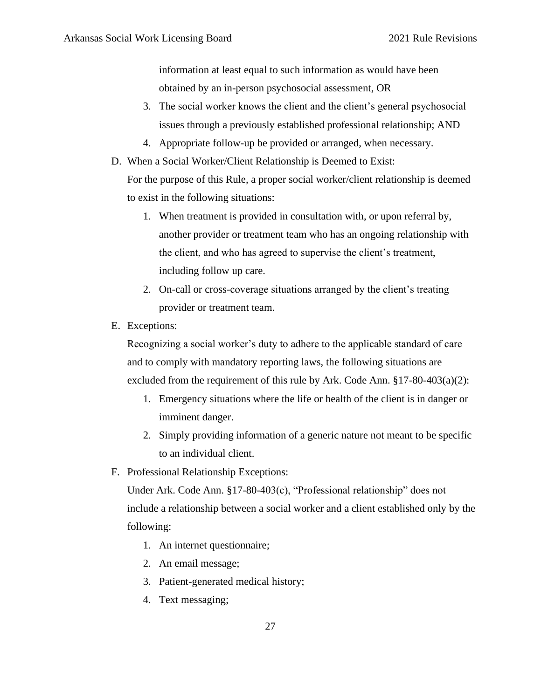information at least equal to such information as would have been obtained by an in-person psychosocial assessment, OR

- 3. The social worker knows the client and the client's general psychosocial issues through a previously established professional relationship; AND
- 4. Appropriate follow-up be provided or arranged, when necessary.
- D. When a Social Worker/Client Relationship is Deemed to Exist:

For the purpose of this Rule, a proper social worker/client relationship is deemed to exist in the following situations:

- 1. When treatment is provided in consultation with, or upon referral by, another provider or treatment team who has an ongoing relationship with the client, and who has agreed to supervise the client's treatment, including follow up care.
- 2. On-call or cross-coverage situations arranged by the client's treating provider or treatment team.
- E. Exceptions:

Recognizing a social worker's duty to adhere to the applicable standard of care and to comply with mandatory reporting laws, the following situations are excluded from the requirement of this rule by Ark. Code Ann. §17-80-403(a)(2):

- 1. Emergency situations where the life or health of the client is in danger or imminent danger.
- 2. Simply providing information of a generic nature not meant to be specific to an individual client.
- F. Professional Relationship Exceptions:

Under Ark. Code Ann. §17-80-403(c), "Professional relationship" does not include a relationship between a social worker and a client established only by the following:

- 1. An internet questionnaire;
- 2. An email message;
- 3. Patient-generated medical history;
- 4. Text messaging;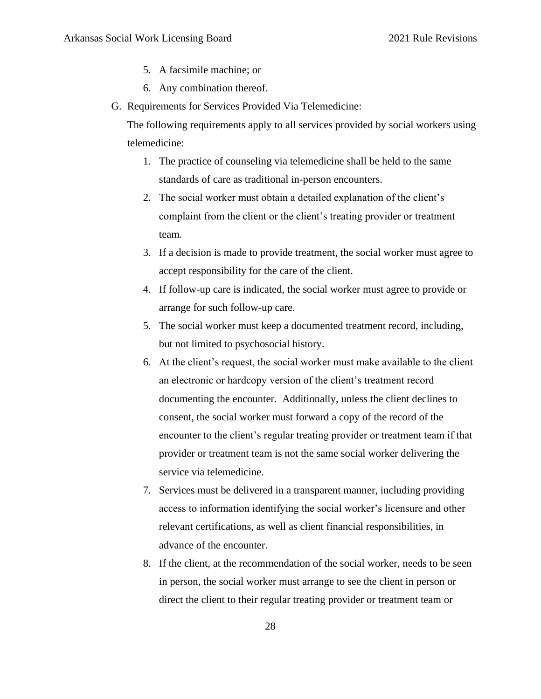- 5. A facsimile machine; or
- 6. Any combination thereof.
- G. Requirements for Services Provided Via Telemedicine:

The following requirements apply to all services provided by social workers using telemedicine:

- 1. The practice of counseling via telemedicine shall be held to the same standards of care as traditional in-person encounters.
- 2. The social worker must obtain a detailed explanation of the client's complaint from the client or the client's treating provider or treatment team.
- 3. If a decision is made to provide treatment, the social worker must agree to accept responsibility for the care of the client.
- 4. If follow-up care is indicated, the social worker must agree to provide or arrange for such follow-up care.
- 5. The social worker must keep a documented treatment record, including, but not limited to psychosocial history.
- 6. At the client's request, the social worker must make available to the client an electronic or hardcopy version of the client's treatment record documenting the encounter. Additionally, unless the client declines to consent, the social worker must forward a copy of the record of the encounter to the client's regular treating provider or treatment team if that provider or treatment team is not the same social worker delivering the service via telemedicine.
- 7. Services must be delivered in a transparent manner, including providing access to information identifying the social worker's licensure and other relevant certifications, as well as client financial responsibilities, in advance of the encounter.
- 8. If the client, at the recommendation of the social worker, needs to be seen in person, the social worker must arrange to see the client in person or direct the client to their regular treating provider or treatment team or